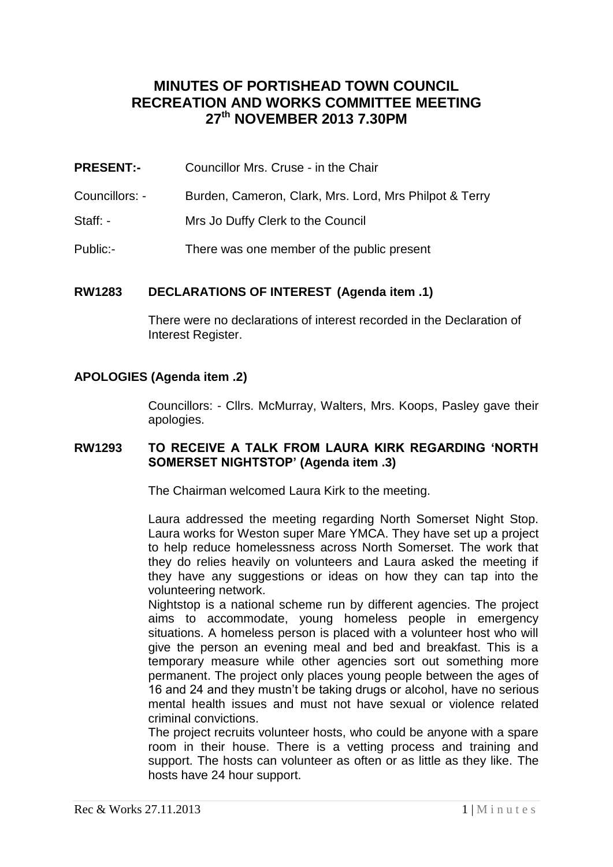# **MINUTES OF PORTISHEAD TOWN COUNCIL RECREATION AND WORKS COMMITTEE MEETING 27th NOVEMBER 2013 7.30PM**

- **PRESENT:-** Councillor Mrs. Cruse in the Chair
- Councillors: Burden, Cameron, Clark, Mrs. Lord, Mrs Philpot & Terry
- Staff: Mrs Jo Duffy Clerk to the Council
- Public:- There was one member of the public present

# **RW1283 DECLARATIONS OF INTEREST (Agenda item .1)**

There were no declarations of interest recorded in the Declaration of Interest Register.

# **APOLOGIES (Agenda item .2)**

Councillors: - Cllrs. McMurray, Walters, Mrs. Koops, Pasley gave their apologies.

### **RW1293 TO RECEIVE A TALK FROM LAURA KIRK REGARDING 'NORTH SOMERSET NIGHTSTOP' (Agenda item .3)**

The Chairman welcomed Laura Kirk to the meeting.

Laura addressed the meeting regarding North Somerset Night Stop. Laura works for Weston super Mare YMCA. They have set up a project to help reduce homelessness across North Somerset. The work that they do relies heavily on volunteers and Laura asked the meeting if they have any suggestions or ideas on how they can tap into the volunteering network.

Nightstop is a national scheme run by different agencies. The project aims to accommodate, young homeless people in emergency situations. A homeless person is placed with a volunteer host who will give the person an evening meal and bed and breakfast. This is a temporary measure while other agencies sort out something more permanent. The project only places young people between the ages of 16 and 24 and they mustn't be taking drugs or alcohol, have no serious mental health issues and must not have sexual or violence related criminal convictions.

The project recruits volunteer hosts, who could be anyone with a spare room in their house. There is a vetting process and training and support. The hosts can volunteer as often or as little as they like. The hosts have 24 hour support.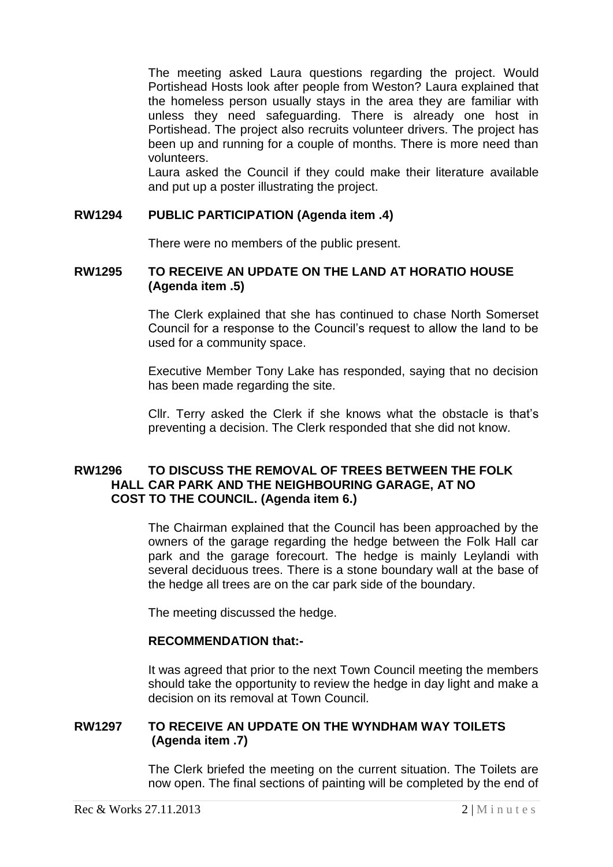The meeting asked Laura questions regarding the project. Would Portishead Hosts look after people from Weston? Laura explained that the homeless person usually stays in the area they are familiar with unless they need safeguarding. There is already one host in Portishead. The project also recruits volunteer drivers. The project has been up and running for a couple of months. There is more need than volunteers.

Laura asked the Council if they could make their literature available and put up a poster illustrating the project.

### **RW1294 PUBLIC PARTICIPATION (Agenda item .4)**

There were no members of the public present.

### **RW1295 TO RECEIVE AN UPDATE ON THE LAND AT HORATIO HOUSE (Agenda item .5)**

The Clerk explained that she has continued to chase North Somerset Council for a response to the Council's request to allow the land to be used for a community space.

Executive Member Tony Lake has responded, saying that no decision has been made regarding the site.

Cllr. Terry asked the Clerk if she knows what the obstacle is that's preventing a decision. The Clerk responded that she did not know.

# **RW1296 TO DISCUSS THE REMOVAL OF TREES BETWEEN THE FOLK HALL CAR PARK AND THE NEIGHBOURING GARAGE, AT NO COST TO THE COUNCIL. (Agenda item 6.)**

The Chairman explained that the Council has been approached by the owners of the garage regarding the hedge between the Folk Hall car park and the garage forecourt. The hedge is mainly Leylandi with several deciduous trees. There is a stone boundary wall at the base of the hedge all trees are on the car park side of the boundary.

The meeting discussed the hedge.

### **RECOMMENDATION that:-**

It was agreed that prior to the next Town Council meeting the members should take the opportunity to review the hedge in day light and make a decision on its removal at Town Council.

# **RW1297 TO RECEIVE AN UPDATE ON THE WYNDHAM WAY TOILETS (Agenda item .7)**

The Clerk briefed the meeting on the current situation. The Toilets are now open. The final sections of painting will be completed by the end of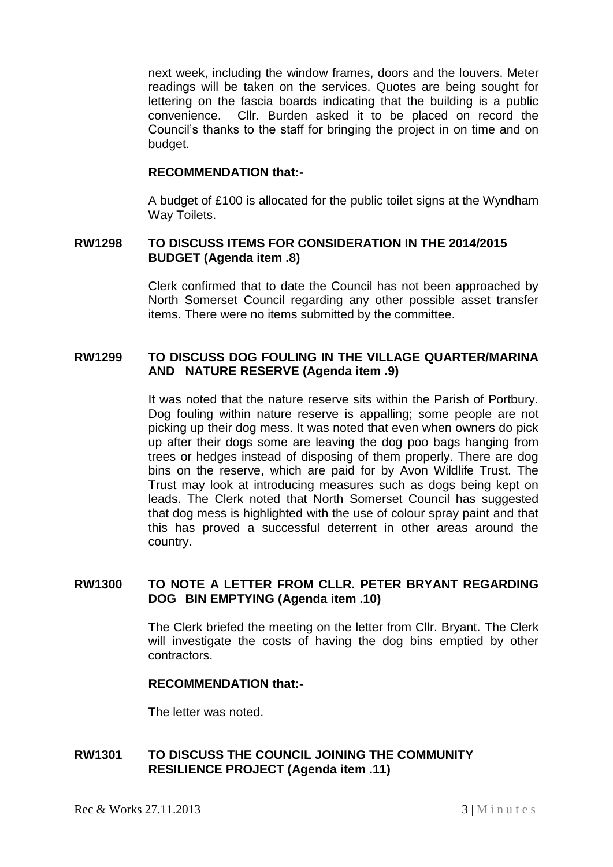next week, including the window frames, doors and the louvers. Meter readings will be taken on the services. Quotes are being sought for lettering on the fascia boards indicating that the building is a public convenience. Cllr. Burden asked it to be placed on record the Council's thanks to the staff for bringing the project in on time and on budget.

### **RECOMMENDATION that:-**

A budget of £100 is allocated for the public toilet signs at the Wyndham Way Toilets.

### **RW1298 TO DISCUSS ITEMS FOR CONSIDERATION IN THE 2014/2015 BUDGET (Agenda item .8)**

Clerk confirmed that to date the Council has not been approached by North Somerset Council regarding any other possible asset transfer items. There were no items submitted by the committee.

### **RW1299 TO DISCUSS DOG FOULING IN THE VILLAGE QUARTER/MARINA AND NATURE RESERVE (Agenda item .9)**

It was noted that the nature reserve sits within the Parish of Portbury. Dog fouling within nature reserve is appalling; some people are not picking up their dog mess. It was noted that even when owners do pick up after their dogs some are leaving the dog poo bags hanging from trees or hedges instead of disposing of them properly. There are dog bins on the reserve, which are paid for by Avon Wildlife Trust. The Trust may look at introducing measures such as dogs being kept on leads. The Clerk noted that North Somerset Council has suggested that dog mess is highlighted with the use of colour spray paint and that this has proved a successful deterrent in other areas around the country.

### **RW1300 TO NOTE A LETTER FROM CLLR. PETER BRYANT REGARDING DOG BIN EMPTYING (Agenda item .10)**

The Clerk briefed the meeting on the letter from Cllr. Bryant. The Clerk will investigate the costs of having the dog bins emptied by other contractors.

#### **RECOMMENDATION that:-**

The letter was noted.

### **RW1301 TO DISCUSS THE COUNCIL JOINING THE COMMUNITY RESILIENCE PROJECT (Agenda item .11)**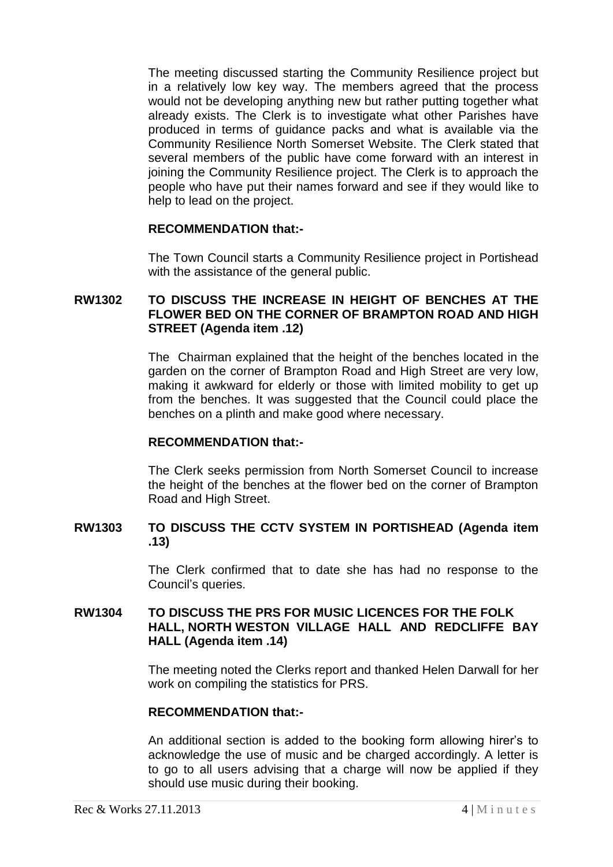The meeting discussed starting the Community Resilience project but in a relatively low key way. The members agreed that the process would not be developing anything new but rather putting together what already exists. The Clerk is to investigate what other Parishes have produced in terms of guidance packs and what is available via the Community Resilience North Somerset Website. The Clerk stated that several members of the public have come forward with an interest in joining the Community Resilience project. The Clerk is to approach the people who have put their names forward and see if they would like to help to lead on the project.

### **RECOMMENDATION that:-**

The Town Council starts a Community Resilience project in Portishead with the assistance of the general public.

# **RW1302 TO DISCUSS THE INCREASE IN HEIGHT OF BENCHES AT THE FLOWER BED ON THE CORNER OF BRAMPTON ROAD AND HIGH STREET (Agenda item .12)**

The Chairman explained that the height of the benches located in the garden on the corner of Brampton Road and High Street are very low, making it awkward for elderly or those with limited mobility to get up from the benches. It was suggested that the Council could place the benches on a plinth and make good where necessary.

#### **RECOMMENDATION that:-**

The Clerk seeks permission from North Somerset Council to increase the height of the benches at the flower bed on the corner of Brampton Road and High Street.

# **RW1303 TO DISCUSS THE CCTV SYSTEM IN PORTISHEAD (Agenda item .13)**

The Clerk confirmed that to date she has had no response to the Council's queries.

# **RW1304 TO DISCUSS THE PRS FOR MUSIC LICENCES FOR THE FOLK HALL, NORTH WESTON VILLAGE HALL AND REDCLIFFE BAY HALL (Agenda item .14)**

The meeting noted the Clerks report and thanked Helen Darwall for her work on compiling the statistics for PRS.

#### **RECOMMENDATION that:-**

An additional section is added to the booking form allowing hirer's to acknowledge the use of music and be charged accordingly. A letter is to go to all users advising that a charge will now be applied if they should use music during their booking.